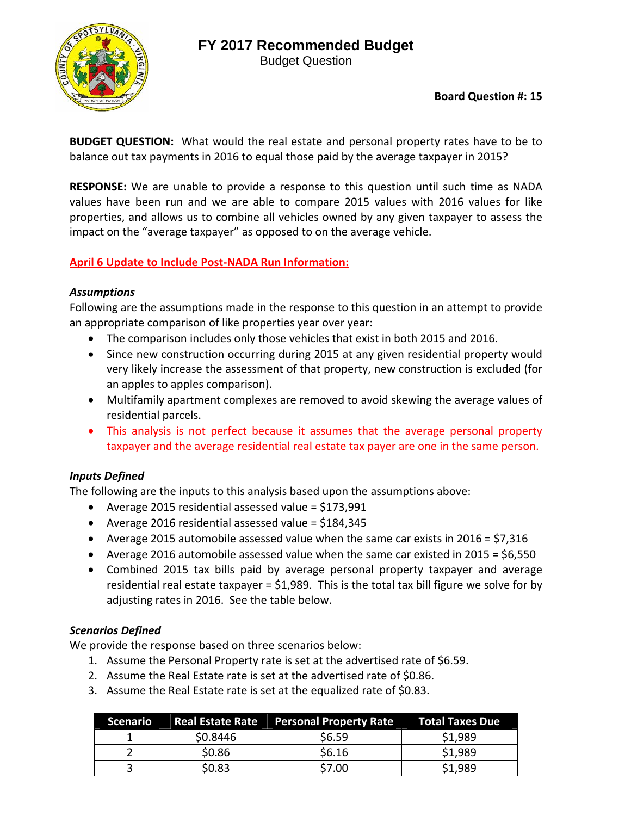# **FY 2017 Recommended Budget**

Budget Question



## **Board Question #: 15**

**BUDGET QUESTION:** What would the real estate and personal property rates have to be to balance out tax payments in 2016 to equal those paid by the average taxpayer in 2015?

**RESPONSE:** We are unable to provide a response to this question until such time as NADA values have been run and we are able to compare 2015 values with 2016 values for like properties, and allows us to combine all vehicles owned by any given taxpayer to assess the impact on the "average taxpayer" as opposed to on the average vehicle.

## **April 6 Update to Include Post‐NADA Run Information:**

#### *Assumptions*

Following are the assumptions made in the response to this question in an attempt to provide an appropriate comparison of like properties year over year:

- The comparison includes only those vehicles that exist in both 2015 and 2016.
- Since new construction occurring during 2015 at any given residential property would very likely increase the assessment of that property, new construction is excluded (for an apples to apples comparison).
- Multifamily apartment complexes are removed to avoid skewing the average values of residential parcels.
- This analysis is not perfect because it assumes that the average personal property taxpayer and the average residential real estate tax payer are one in the same person.

## *Inputs Defined*

The following are the inputs to this analysis based upon the assumptions above:

- Average 2015 residential assessed value = \$173,991
- Average 2016 residential assessed value =  $$184,345$
- Average 2015 automobile assessed value when the same car exists in 2016 =  $$7,316$
- Average 2016 automobile assessed value when the same car existed in 2015 = \$6,550
- Combined 2015 tax bills paid by average personal property taxpayer and average residential real estate taxpayer = \$1,989. This is the total tax bill figure we solve for by adjusting rates in 2016. See the table below.

## *Scenarios Defined*

We provide the response based on three scenarios below:

- 1. Assume the Personal Property rate is set at the advertised rate of \$6.59.
- 2. Assume the Real Estate rate is set at the advertised rate of \$0.86.
- 3. Assume the Real Estate rate is set at the equalized rate of \$0.83.

| <b>Scenario</b> |          | Real Estate Rate Personal Property Rate Total Taxes Due |         |
|-----------------|----------|---------------------------------------------------------|---------|
|                 | \$0.8446 | \$6.59                                                  | \$1,989 |
|                 | \$0.86   | \$6.16                                                  | \$1,989 |
|                 | \$0.83   | \$7.00                                                  | \$1,989 |